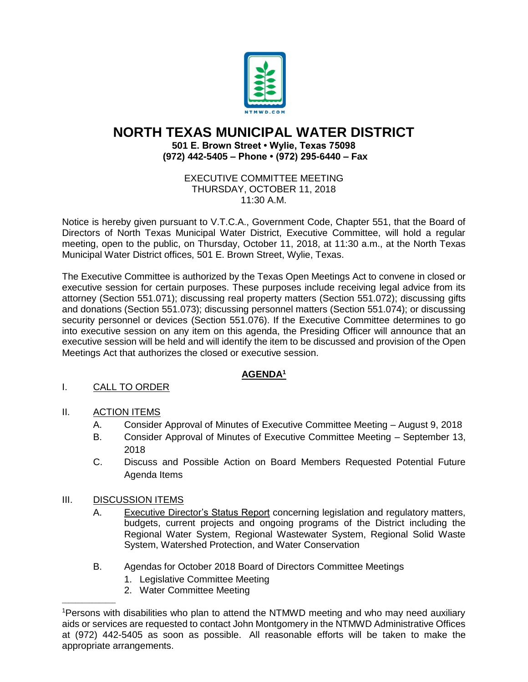

# **NORTH TEXAS MUNICIPAL WATER DISTRICT**

**501 E. Brown Street • Wylie, Texas 75098 (972) 442-5405 – Phone • (972) 295-6440 – Fax**

### EXECUTIVE COMMITTEE MEETING THURSDAY, OCTOBER 11, 2018 11:30 A.M.

Notice is hereby given pursuant to V.T.C.A., Government Code, Chapter 551, that the Board of Directors of North Texas Municipal Water District, Executive Committee, will hold a regular meeting, open to the public, on Thursday, October 11, 2018, at 11:30 a.m., at the North Texas Municipal Water District offices, 501 E. Brown Street, Wylie, Texas.

The Executive Committee is authorized by the Texas Open Meetings Act to convene in closed or executive session for certain purposes. These purposes include receiving legal advice from its attorney (Section 551.071); discussing real property matters (Section 551.072); discussing gifts and donations (Section 551.073); discussing personnel matters (Section 551.074); or discussing security personnel or devices (Section 551.076). If the Executive Committee determines to go into executive session on any item on this agenda, the Presiding Officer will announce that an executive session will be held and will identify the item to be discussed and provision of the Open Meetings Act that authorizes the closed or executive session.

## **AGENDA<sup>1</sup>**

## I. CALL TO ORDER

## II. ACTION ITEMS

- A. Consider Approval of Minutes of Executive Committee Meeting August 9, 2018
- B. Consider Approval of Minutes of Executive Committee Meeting September 13, 2018
- C. Discuss and Possible Action on Board Members Requested Potential Future Agenda Items

## III. DISCUSSION ITEMS

 $\overline{\phantom{a}}$  ,  $\overline{\phantom{a}}$  ,  $\overline{\phantom{a}}$  ,  $\overline{\phantom{a}}$  ,  $\overline{\phantom{a}}$  ,  $\overline{\phantom{a}}$  ,  $\overline{\phantom{a}}$  ,  $\overline{\phantom{a}}$  ,  $\overline{\phantom{a}}$  ,  $\overline{\phantom{a}}$  ,  $\overline{\phantom{a}}$  ,  $\overline{\phantom{a}}$  ,  $\overline{\phantom{a}}$  ,  $\overline{\phantom{a}}$  ,  $\overline{\phantom{a}}$  ,  $\overline{\phantom{a}}$ 

- A. Executive Director's Status Report concerning legislation and regulatory matters, budgets, current projects and ongoing programs of the District including the Regional Water System, Regional Wastewater System, Regional Solid Waste System, Watershed Protection, and Water Conservation
- B. Agendas for October 2018 Board of Directors Committee Meetings
	- 1. Legislative Committee Meeting
	- 2. Water Committee Meeting

<sup>1</sup>Persons with disabilities who plan to attend the NTMWD meeting and who may need auxiliary aids or services are requested to contact John Montgomery in the NTMWD Administrative Offices at (972) 442-5405 as soon as possible. All reasonable efforts will be taken to make the appropriate arrangements.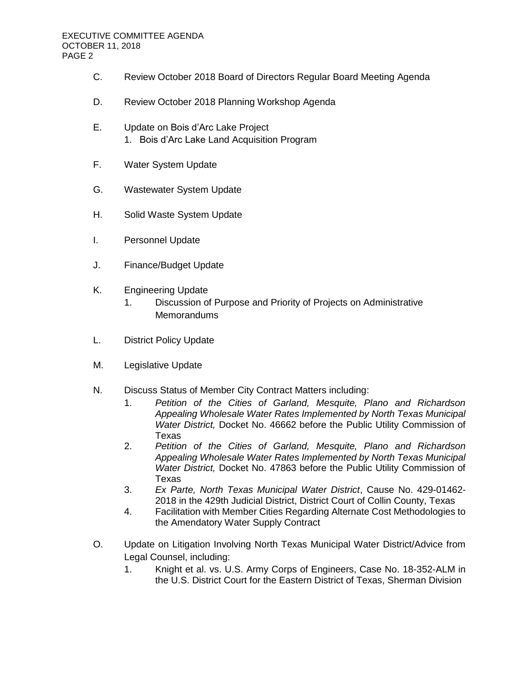- C. Review October 2018 Board of Directors Regular Board Meeting Agenda
- D. Review October 2018 Planning Workshop Agenda
- E. Update on Bois d'Arc Lake Project 1. Bois d'Arc Lake Land Acquisition Program
- F. Water System Update
- G. Wastewater System Update
- H. Solid Waste System Update
- I. Personnel Update
- J. Finance/Budget Update
- K. Engineering Update
	- 1. Discussion of Purpose and Priority of Projects on Administrative **Memorandums**
- L. District Policy Update
- M. Legislative Update
- N. Discuss Status of Member City Contract Matters including:
	- 1. *Petition of the Cities of Garland, Mesquite, Plano and Richardson Appealing Wholesale Water Rates Implemented by North Texas Municipal Water District,* Docket No. 46662 before the Public Utility Commission of Texas
	- 2. *Petition of the Cities of Garland, Mesquite, Plano and Richardson Appealing Wholesale Water Rates Implemented by North Texas Municipal Water District,* Docket No. 47863 before the Public Utility Commission of Texas
	- 3. *Ex Parte, North Texas Municipal Water District*, Cause No. 429-01462- 2018 in the 429th Judicial District, District Court of Collin County, Texas
	- 4. Facilitation with Member Cities Regarding Alternate Cost Methodologies to the Amendatory Water Supply Contract
- O. Update on Litigation Involving North Texas Municipal Water District/Advice from Legal Counsel, including:
	- 1. Knight et al. vs. U.S. Army Corps of Engineers, Case No. 18-352-ALM in the U.S. District Court for the Eastern District of Texas, Sherman Division